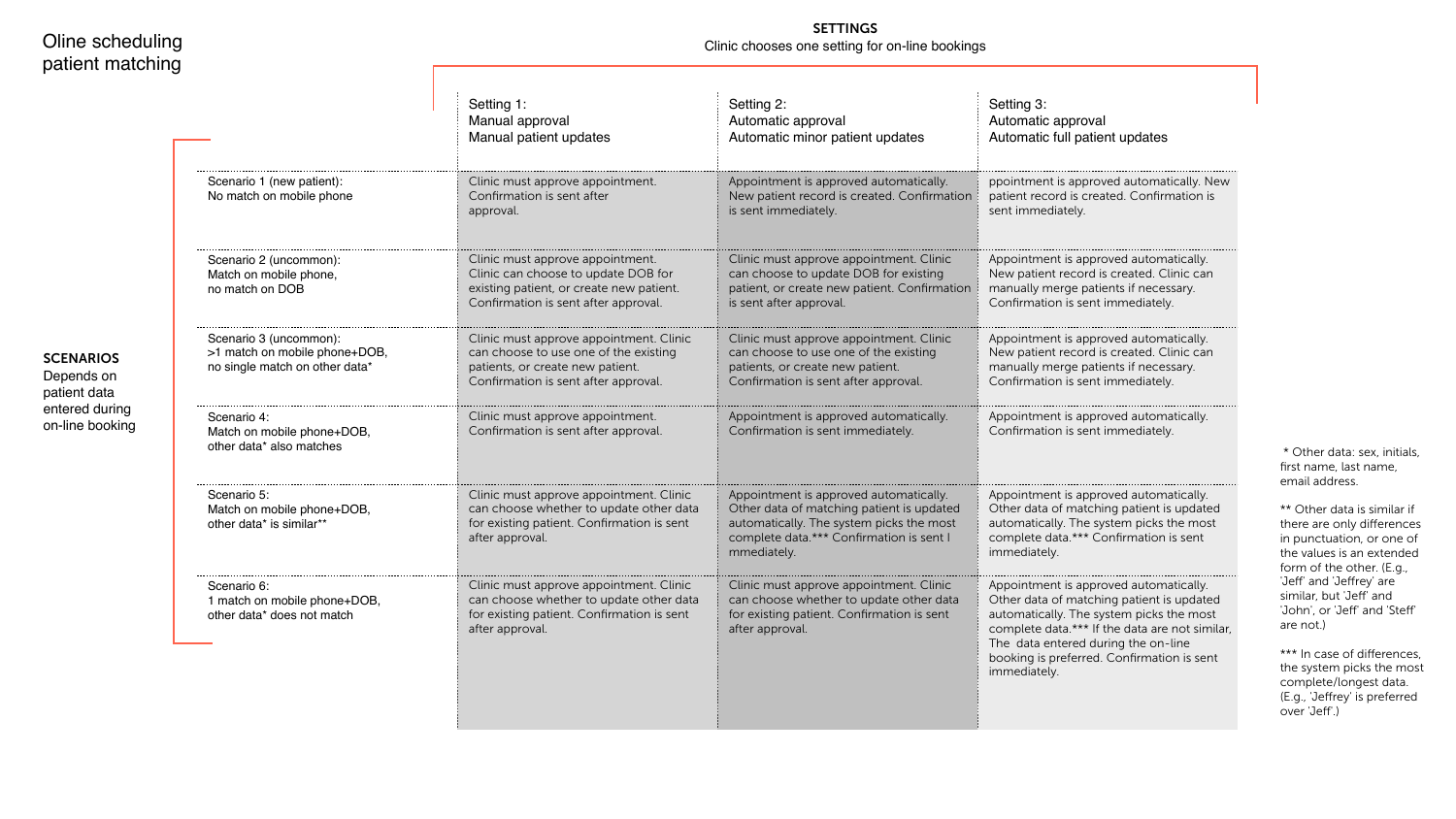|                                                                                           | Setting 1:<br>Manual approval<br>Manual patient updates                                                                                                      | Setting 2:<br>Automatic approval<br>Automatic minor patient updates                                                                                                                        | Setting 3:<br>Automatic approval<br>Automatic full patient updates                                                                                                                                                                                                                     |
|-------------------------------------------------------------------------------------------|--------------------------------------------------------------------------------------------------------------------------------------------------------------|--------------------------------------------------------------------------------------------------------------------------------------------------------------------------------------------|----------------------------------------------------------------------------------------------------------------------------------------------------------------------------------------------------------------------------------------------------------------------------------------|
| Scenario 1 (new patient):<br>No match on mobile phone                                     | Clinic must approve appointment.<br>Confirmation is sent after<br>approval.                                                                                  | Appointment is approved automatically.<br>New patient record is created. Confirmation<br>is sent immediately.                                                                              | ppointment is approved automatically. New<br>patient record is created. Confirmation is<br>sent immediately.                                                                                                                                                                           |
| Scenario 2 (uncommon):<br>Match on mobile phone,<br>no match on DOB                       | Clinic must approve appointment.<br>Clinic can choose to update DOB for<br>existing patient, or create new patient.<br>Confirmation is sent after approval.  | Clinic must approve appointment. Clinic<br>can choose to update DOB for existing<br>patient, or create new patient. Confirmation<br>is sent after approval.                                | Appointment is approved automatically.<br>New patient record is created. Clinic can<br>manually merge patients if necessary.<br>Confirmation is sent immediately.                                                                                                                      |
| Scenario 3 (uncommon):<br>>1 match on mobile phone+DOB,<br>no single match on other data* | Clinic must approve appointment. Clinic<br>can choose to use one of the existing<br>patients, or create new patient.<br>Confirmation is sent after approval. | Clinic must approve appointment. Clinic<br>can choose to use one of the existing<br>patients, or create new patient.<br>Confirmation is sent after approval.                               | Appointment is approved automatically.<br>New patient record is created. Clinic can<br>manually merge patients if necessary.<br>Confirmation is sent immediately.                                                                                                                      |
| Scenario 4:<br>Match on mobile phone+DOB,<br>other data* also matches                     | Clinic must approve appointment.<br>Confirmation is sent after approval.                                                                                     | Appointment is approved automatically.<br>Confirmation is sent immediately.                                                                                                                | Appointment is approved automatically.<br>Confirmation is sent immediately.                                                                                                                                                                                                            |
| Scenario 5:<br>Match on mobile phone+DOB,<br>other data* is similar**                     | Clinic must approve appointment. Clinic<br>can choose whether to update other data<br>for existing patient. Confirmation is sent<br>after approval.          | Appointment is approved automatically.<br>Other data of matching patient is updated<br>automatically. The system picks the most<br>complete data.*** Confirmation is sent I<br>mmediately. | Appointment is approved automatically.<br>Other data of matching patient is updated<br>automatically. The system picks the most<br>complete data.*** Confirmation is sent<br>immediately.                                                                                              |
| Scenario 6:<br>1 match on mobile phone+DOB,<br>other data* does not match                 | Clinic must approve appointment. Clinic<br>can choose whether to update other data<br>for existing patient. Confirmation is sent<br>after approval.          | Clinic must approve appointment. Clinic<br>can choose whether to update other data<br>for existing patient. Confirmation is sent<br>after approval.                                        | Appointment is approved automatically.<br>Other data of matching patient is updated<br>automatically. The system picks the most<br>complete data.*** If the data are not similar,<br>The data entered during the on-line<br>booking is preferred. Confirmation is sent<br>immediately. |

### **SCENARIOS**

\*\* Other data is similar if there are only differences in punctuation, or one of the values is an extended form of the other. (E.g., 'Jeff' and 'Jeffrey' are similar, but 'Jeff' and 'John', or 'Jeff' and 'Steff' are not.)

\*\*\* In case of differences, the system picks the most complete/longest data. (E.g., 'Jeffrey' is preferred over 'Jeff'.)

### SETTINGS Clinic chooses one setting for on-line bookings

 \* Other data: sex, initials, first name, last name, email address.

Depends on patient data entered during on-line booking

# Oline scheduling patient matching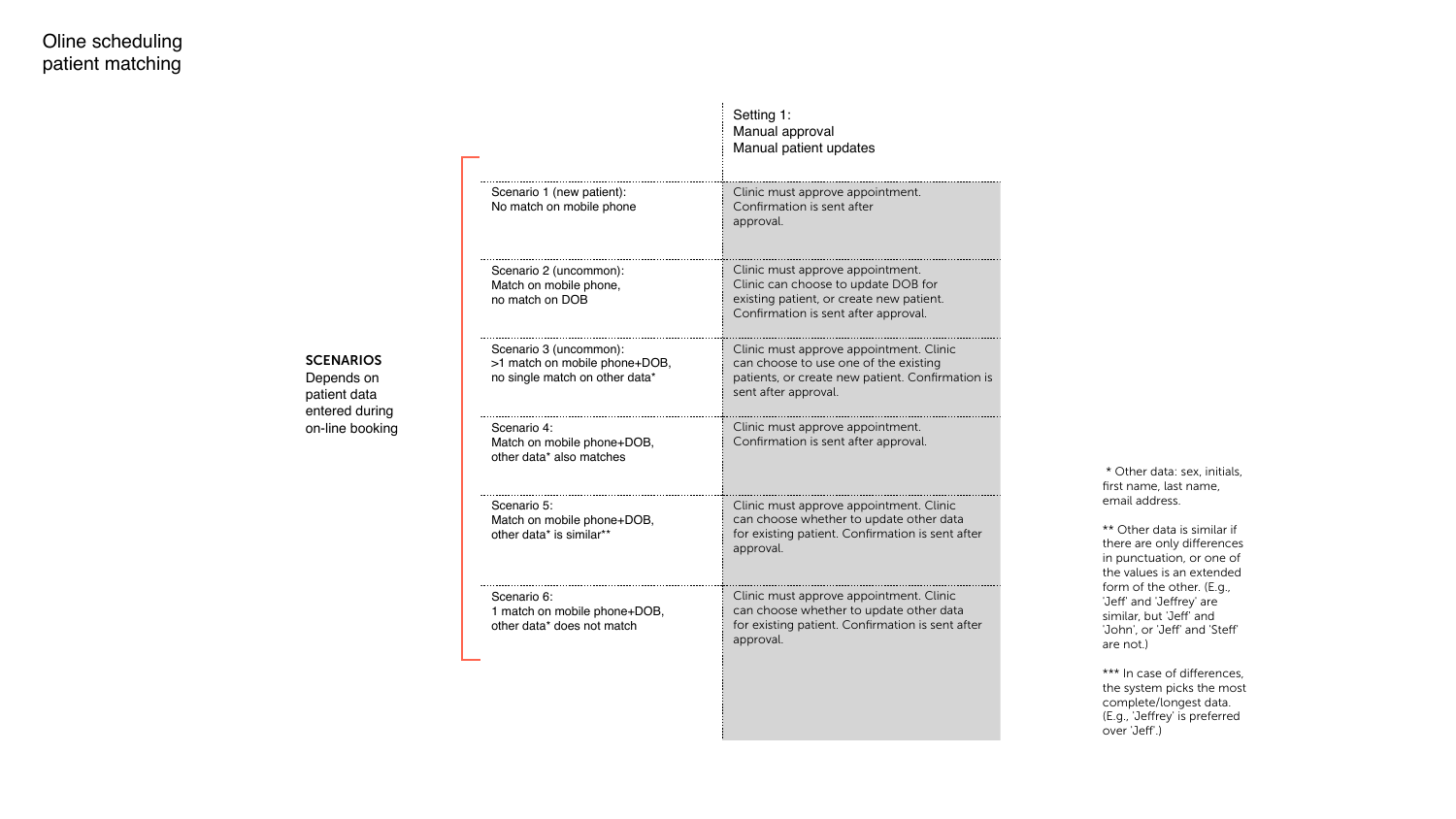### Setting 1: Manual approval Manual patient updates

Clinic must approve appointment. Confirmation is sent after approval.

Clinic must approve appointment. Clinic can choose to update DOB for existing patient, or create new patient. Confirmation is sent after approval.

| Scenario 1 (new patient):<br>No match on mobile phone                                     |
|-------------------------------------------------------------------------------------------|
| Scenario 2 (uncommon):<br>Match on mobile phone,<br>no match on DOB                       |
| Scenario 3 (uncommon):<br>>1 match on mobile phone+DOB,<br>no single match on other data* |
| Scenario 4:<br>Match on mobile phone+DOB,<br>other data* also matches                     |
| Scenario 5:<br>Match on mobile phone+DOB,<br>other data* is similar**                     |
| Scenario 6:<br>1 match on mobile phone+DOB,<br>other data* does not match                 |

### **SCENARIOS**

Clinic must approve appointment. Clinic can choose to use one of the existing patients, or create new patient. Confirmation is sent after approval.

Clinic must approve appointment. Confirmation is sent after approval.

> \*\* Other data is similar if there are only differences in punctuation, or one of the values is an extended form of the other. (E.g., 'Jeff' and 'Jeffrey' are similar, but 'Jeff' and 'John', or 'Jeff' and 'Steff' are not.)

\*\*\* In case of differences, the system picks the most complete/longest data. (E.g., 'Jeffrey' is preferred over 'Jeff'.)

Clinic must approve appointment. Clinic can choose whether to update other data for existing patient. Confirmation is sent after approval.

Clinic must approve appointment. Clinic can choose whether to update other data for existing patient. Confirmation is sent after approval.

 \* Other data: sex, initials, first name, last name, email address.

Depends on patient data entered during on-line booking

## Oline scheduling patient matching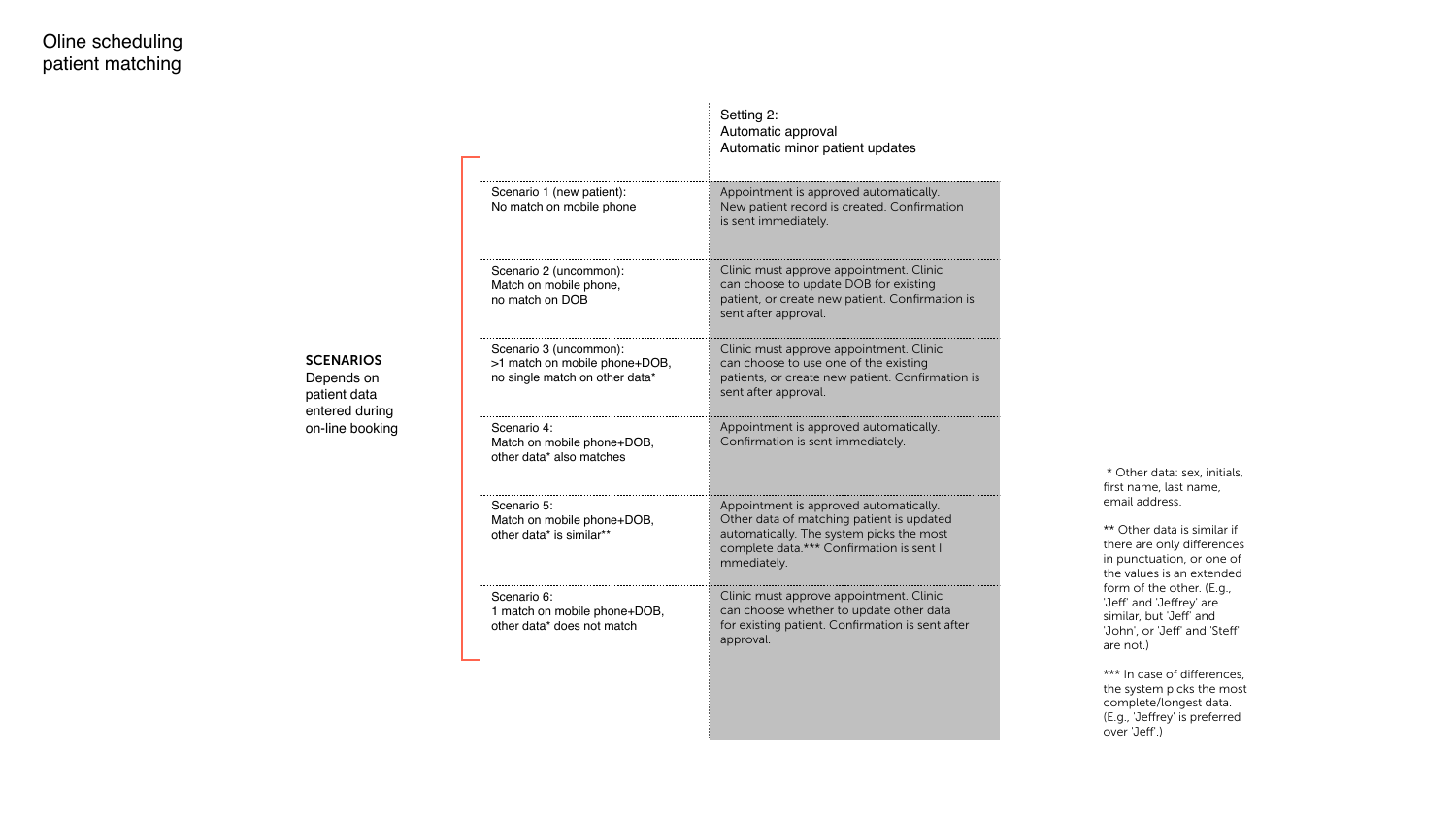Setting 2: Automatic approval Automatic minor patient updates

Appointment is approved automatically. New patient record is created. Confirmation is sent immediately.

Clinic must approve appointment. Clinic can choose to update DOB for existing patient, or create new patient. Confirmation is sent after approval.

| Scenario 1 (new patient):<br>No match on mobile phone                                     |
|-------------------------------------------------------------------------------------------|
| Scenario 2 (uncommon):<br>Match on mobile phone,<br>no match on DOB                       |
| Scenario 3 (uncommon):<br>>1 match on mobile phone+DOB,<br>no single match on other data* |
| Scenario 4:<br>Match on mobile phone+DOB,<br>other data* also matches                     |
| Scenario 5:<br>Match on mobile phone+DOB,<br>other data* is similar**                     |
| Scenario 6:<br>1 match on mobile phone+DOB,<br>other data* does not match                 |

### **SCENARIOS**

Clinic must approve appointment. Clinic can choose to use one of the existing patients, or create new patient. Confirmation is sent after approval.

Appointment is approved automatically. Confirmation is sent immediately.

> \*\* Other data is similar if there are only differences in punctuation, or one of the values is an extended form of the other. (E.g., 'Jeff' and 'Jeffrey' are similar, but 'Jeff' and 'John', or 'Jeff' and 'Steff' are not.)

\*\*\* In case of differences, the system picks the most complete/longest data. (E.g., 'Jeffrey' is preferred over 'Jeff'.)

Appointment is approved automatically. Other data of matching patient is updated automatically. The system picks the most complete data.\*\*\* Confirmation is sent I mmediately.

Clinic must approve appointment. Clinic can choose whether to update other data for existing patient. Confirmation is sent after approval.

 \* Other data: sex, initials, first name, last name, email address.

## Oline scheduling patient matching

Depends on patient data entered during on-line booking